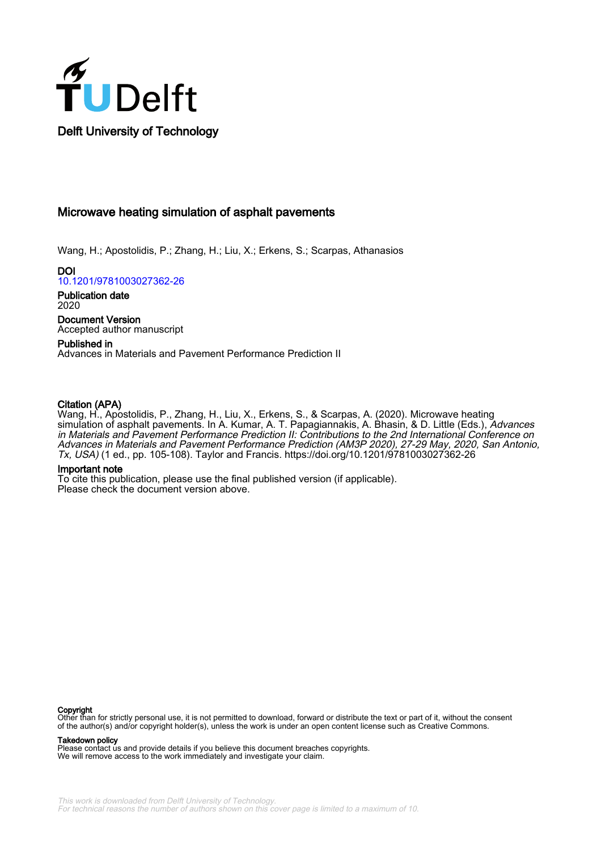

# Microwave heating simulation of asphalt pavements

Wang, H.; Apostolidis, P.; Zhang, H.; Liu, X.; Erkens, S.; Scarpas, Athanasios

DOI [10.1201/9781003027362-26](https://doi.org/10.1201/9781003027362-26)

Publication date 2020

Document Version Accepted author manuscript

# Published in Advances in Materials and Pavement Performance Prediction II

## Citation (APA)

Wang, H., Apostolidis, P., Zhang, H., Liu, X., Erkens, S., & Scarpas, A. (2020). Microwave heating simulation of asphalt pavements. In A. Kumar, A. T. Papagiannakis, A. Bhasin, & D. Little (Eds.), *Advances*<br>*in Materials and Pavement Performance Prediction II: Contributions to the 2nd International Conference on* Advances in Materials and Pavement Performance Prediction (AM3P 2020), 27-29 May, 2020, San Antonio, Tx, USA) (1 ed., pp. 105-108). Taylor and Francis. <https://doi.org/10.1201/9781003027362-26>

#### Important note

To cite this publication, please use the final published version (if applicable). Please check the document version above.

**Copyright**<br>Other than for strictly personal use, it is not permitted to download, forward or distribute the text or part of it, without the consent of the author(s) and/or copyright holder(s), unless the work is under an open content license such as Creative Commons.

Takedown policy

Please contact us and provide details if you believe this document breaches copyrights. We will remove access to the work immediately and investigate your claim.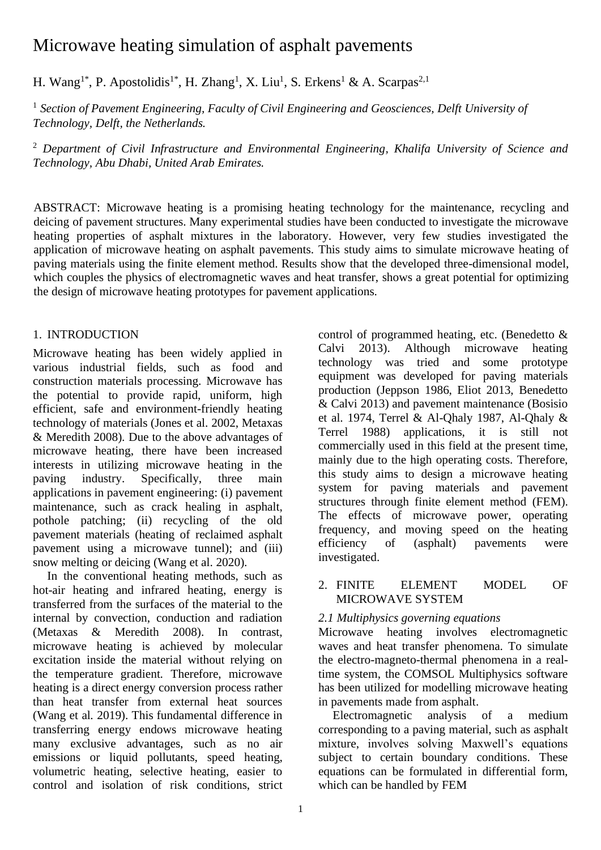# Microwave heating simulation of asphalt pavements

H. Wang<sup>1\*</sup>, P. Apostolidis<sup>1\*</sup>, H. Zhang<sup>1</sup>, X. Liu<sup>1</sup>, S. Erkens<sup>1</sup> & A. Scarpas<sup>2,1</sup>

<sup>1</sup> Section of Pavement Engineering, Faculty of Civil Engineering and Geosciences, Delft University of *Technology, Delft, the Netherlands.*

<sup>2</sup> *Department of Civil Infrastructure and Environmental Engineering, Khalifa University of Science and Technology, Abu Dhabi, United Arab Emirates.*

ABSTRACT: Microwave heating is a promising heating technology for the maintenance, recycling and deicing of pavement structures. Many experimental studies have been conducted to investigate the microwave heating properties of asphalt mixtures in the laboratory. However, very few studies investigated the application of microwave heating on asphalt pavements. This study aims to simulate microwave heating of paving materials using the finite element method. Results show that the developed three-dimensional model, which couples the physics of electromagnetic waves and heat transfer, shows a great potential for optimizing the design of microwave heating prototypes for pavement applications.

# 1. INTRODUCTION

Microwave heating has been widely applied in various industrial fields, such as food and construction materials processing. Microwave has the potential to provide rapid, uniform, high efficient, safe and environment-friendly heating technology of materials (Jones et al. 2002, Metaxas & Meredith 2008). Due to the above advantages of microwave heating, there have been increased interests in utilizing microwave heating in the paving industry. Specifically, three main applications in pavement engineering: (i) pavement maintenance, such as crack healing in asphalt, pothole patching; (ii) recycling of the old pavement materials (heating of reclaimed asphalt pavement using a microwave tunnel); and (iii) snow melting or deicing (Wang et al. 2020).

In the conventional heating methods, such as hot-air heating and infrared heating, energy is transferred from the surfaces of the material to the internal by convection, conduction and radiation (Metaxas & Meredith 2008). In contrast, microwave heating is achieved by molecular excitation inside the material without relying on the temperature gradient. Therefore, microwave heating is a direct energy conversion process rather than heat transfer from external heat sources (Wang et al. 2019). This fundamental difference in transferring energy endows microwave heating many exclusive advantages, such as no air emissions or liquid pollutants, speed heating, volumetric heating, selective heating, easier to control and isolation of risk conditions, strict

control of programmed heating, etc. (Benedetto & Calvi 2013). Although microwave heating technology was tried and some prototype equipment was developed for paving materials production (Jeppson 1986, Eliot 2013, Benedetto & Calvi 2013) and pavement maintenance (Bosisio et al. 1974, Terrel & Al-Qhaly 1987, Al-Qhaly & Terrel 1988) applications, it is still not commercially used in this field at the present time, mainly due to the high operating costs. Therefore, this study aims to design a microwave heating system for paving materials and pavement structures through finite element method (FEM). The effects of microwave power, operating frequency, and moving speed on the heating efficiency of (asphalt) pavements were investigated.

# 2. FINITE ELEMENT MODEL OF MICROWAVE SYSTEM

# *2.1 Multiphysics governing equations*

Microwave heating involves electromagnetic waves and heat transfer phenomena. To simulate the electro-magneto-thermal phenomena in a realtime system, the COMSOL Multiphysics software has been utilized for modelling microwave heating in pavements made from asphalt.

Electromagnetic analysis of a medium corresponding to a paving material, such as asphalt mixture, involves solving Maxwell's equations subject to certain boundary conditions. These equations can be formulated in differential form, which can be handled by FEM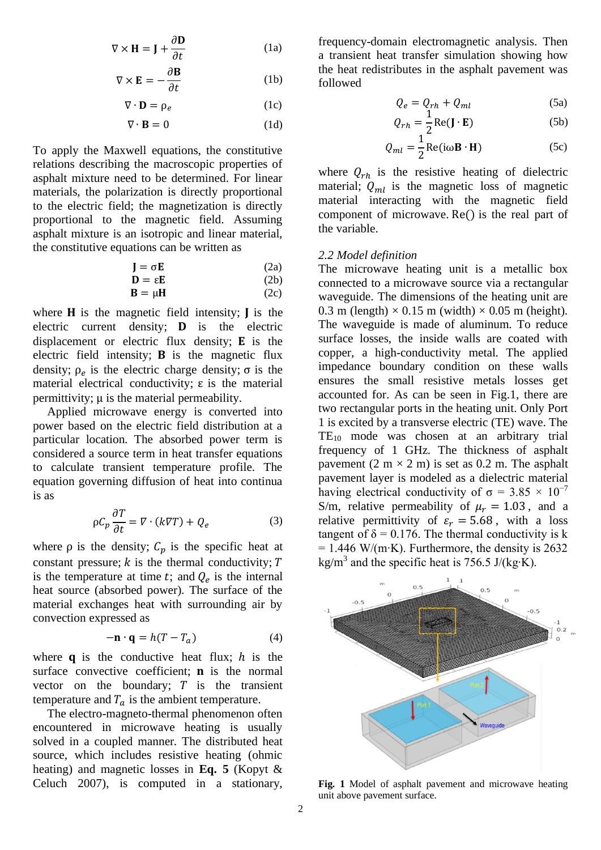$$
\nabla \times \mathbf{H} = \mathbf{J} + \frac{\partial \mathbf{D}}{\partial t}
$$
 (1a)

$$
\nabla \times \mathbf{E} = -\frac{\partial \mathbf{B}}{\partial t}
$$
 (1b)

$$
\nabla \cdot \mathbf{D} = \rho_e \tag{1c}
$$

$$
\nabla \cdot \mathbf{B} = 0 \tag{1d}
$$

To apply the Maxwell equations, the constitutive relations describing the macroscopic properties of asphalt mixture need to be determined. For linear materials, the polarization is directly proportional to the electric field; the magnetization is directly proportional to the magnetic field. Assuming asphalt mixture is an isotropic and linear material, the constitutive equations can be written as

$$
\mathbf{J} = \sigma \mathbf{E} \tag{2a}
$$

$$
\mathbf{D} = \varepsilon \mathbf{E}
$$
 (2b)  

$$
\mathbf{B} = \mu \mathbf{H}
$$
 (2c)

where  $H$  is the magnetic field intensity;  $J$  is the electric current density;  $\mathbf{D}$  is the electric displacement or electric flux density;  $E$  is the electric field intensity;  $\bf{B}$  is the magnetic flux density;  $\rho_e$  is the electric charge density;  $\sigma$  is the material electrical conductivity;  $\varepsilon$  is the material permittivity;  $\mu$  is the material permeability.

Applied microwave energy is converted into power based on the electric field distribution at a particular location. The absorbed power term is considered a source term in heat transfer equations to calculate transient temperature profile. The equation governing diffusion of heat into continua is as

$$
\rho C_p \frac{\partial T}{\partial t} = \nabla \cdot (k \nabla T) + Q_e \tag{3}
$$

where  $\rho$  is the density;  $C_p$  is the specific heat at constant pressure;  $k$  is the thermal conductivity;  $T$ is the temperature at time  $t$ ; and  $Q_e$  is the internal heat source (absorbed power). The surface of the material exchanges heat with surrounding air by convection expressed as

$$
-\mathbf{n} \cdot \mathbf{q} = h(T - T_a) \tag{4}
$$

where  $\bf{q}$  is the conductive heat flux;  $\bf{h}$  is the surface convective coefficient;  $\bf{n}$  is the normal vector on the boundary;  $T$  is the transient temperature and  $T_a$  is the ambient temperature.

The electro-magneto-thermal phenomenon often encountered in microwave heating is usually solved in a coupled manner. The distributed heat source, which includes resistive heating (ohmic heating) and magnetic losses in **Eq. 5** (Kopyt & Celuch 2007), is computed in a stationary,

frequency-domain electromagnetic analysis. Then a transient heat transfer simulation showing how the heat redistributes in the asphalt pavement was followed

$$
Q_e = Q_{rh} + Q_{ml} \tag{5a}
$$

$$
Q_{rh} = \frac{1}{2} \text{Re}(\mathbf{J} \cdot \mathbf{E})
$$
 (5b)

$$
Q_{ml} = \frac{1}{2} \text{Re}(i\omega \mathbf{B} \cdot \mathbf{H})
$$
 (5c)

where  $Q_{rh}$  is the resistive heating of dielectric material;  $Q_{ml}$  is the magnetic loss of magnetic material interacting with the magnetic field component of microwave. Re() is the real part of the variable.

## *2.2 Model definition*

The microwave heating unit is a metallic box connected to a microwave source via a rectangular waveguide. The dimensions of the heating unit are 0.3 m (length)  $\times$  0.15 m (width)  $\times$  0.05 m (height). The waveguide is made of aluminum. To reduce surface losses, the inside walls are coated with copper, a high-conductivity metal. The applied impedance boundary condition on these walls ensures the small resistive metals losses get accounted for. As can be seen in Fig.1, there are two rectangular ports in the heating unit. Only Port 1 is excited by a transverse electric (TE) wave. The  $TE_{10}$  mode was chosen at an arbitrary trial frequency of 1 GHz. The thickness of asphalt pavement  $(2 \text{ m} \times 2 \text{ m})$  is set as 0.2 m. The asphalt pavement layer is modeled as a dielectric material having electrical conductivity of  $\sigma = 3.85 \times 10^{-7}$ S/m, relative permeability of  $\mu_r = 1.03$ , and a relative permittivity of  $\varepsilon_r = 5.68$ , with a loss tangent of  $\delta = 0.176$ . The thermal conductivity is k  $= 1.446$  W/(m⋅K). Furthermore, the density is 2632  $kg/m<sup>3</sup>$  and the specific heat is 756.5 J/(kg⋅K).



**Fig. 1** Model of asphalt pavement and microwave heating unit above pavement surface.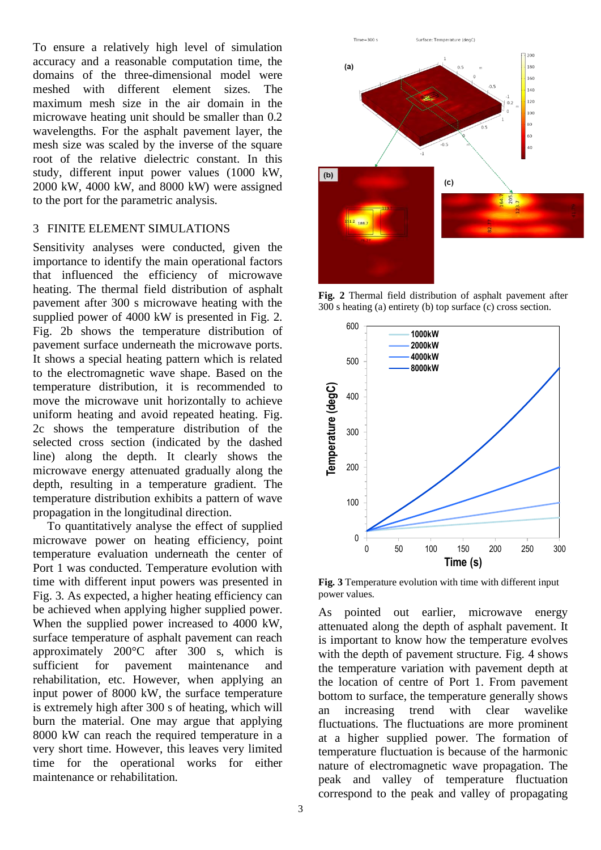To ensure a relatively high level of simulation accuracy and a reasonable computation time, the domains of the three-dimensional model were meshed with different element sizes. The maximum mesh size in the air domain in the microwave heating unit should be smaller than 0.2 wavelengths. For the asphalt pavement layer, the mesh size was scaled by the inverse of the square root of the relative dielectric constant. In this study, different input power values (1000 kW, 2000 kW, 4000 kW, and 8000 kW) were assigned to the port for the parametric analysis.

# 3 FINITE ELEMENT SIMULATIONS

Sensitivity analyses were conducted, given the importance to identify the main operational factors that influenced the efficiency of microwave heating. The thermal field distribution of asphalt pavement after 300 s microwave heating with the supplied power of 4000 kW is presented in Fig. 2. Fig. 2b shows the temperature distribution of pavement surface underneath the microwave ports. It shows a special heating pattern which is related to the electromagnetic wave shape. Based on the temperature distribution, it is recommended to move the microwave unit horizontally to achieve uniform heating and avoid repeated heating. Fig. 2c shows the temperature distribution of the selected cross section (indicated by the dashed line) along the depth. It clearly shows the microwave energy attenuated gradually along the depth, resulting in a temperature gradient. The temperature distribution exhibits a pattern of wave propagation in the longitudinal direction.

To quantitatively analyse the effect of supplied microwave power on heating efficiency, point temperature evaluation underneath the center of Port 1 was conducted. Temperature evolution with time with different input powers was presented in Fig. 3. As expected, a higher heating efficiency can be achieved when applying higher supplied power. When the supplied power increased to 4000 kW, surface temperature of asphalt pavement can reach approximately 200°C after 300 s, which is sufficient for pavement maintenance and rehabilitation, etc. However, when applying an input power of 8000 kW, the surface temperature is extremely high after 300 s of heating, which will burn the material. One may argue that applying 8000 kW can reach the required temperature in a very short time. However, this leaves very limited time for the operational works for either maintenance or rehabilitation.



**Fig. 2** Thermal field distribution of asphalt pavement after 300 s heating (a) entirety (b) top surface (c) cross section.



**Fig. 3** Temperature evolution with time with different input power values.

As pointed out earlier, microwave energy attenuated along the depth of asphalt pavement. It is important to know how the temperature evolves with the depth of pavement structure. Fig. 4 shows the temperature variation with pavement depth at the location of centre of Port 1. From pavement bottom to surface, the temperature generally shows an increasing trend with clear wavelike fluctuations. The fluctuations are more prominent at a higher supplied power. The formation of temperature fluctuation is because of the harmonic nature of electromagnetic wave propagation. The peak and valley of temperature fluctuation correspond to the peak and valley of propagating